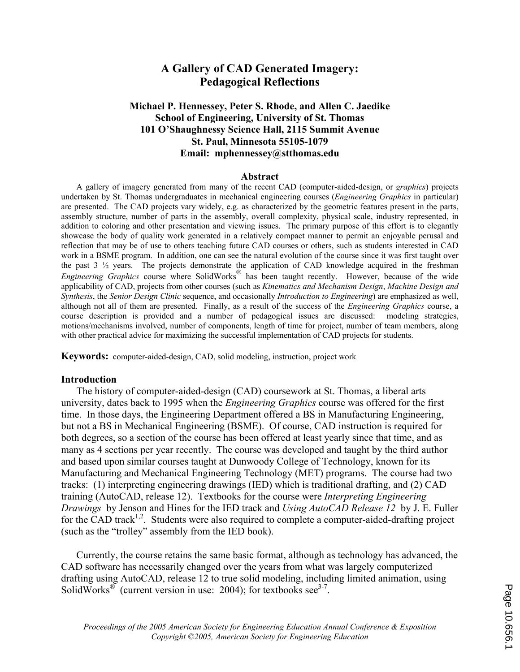# **A Gallery of CAD Generated Imagery: Pedagogical Reflections**

### **Michael P. Hennessey, Peter S. Rhode, and Allen C. Jaedike School of Engineering, University of St. Thomas 101 O'Shaughnessy Science Hall, 2115 Summit Avenue St. Paul, Minnesota 55105-1079 Email: mphennessey@stthomas.edu**

#### **Abstract**

A gallery of imagery generated from many of the recent CAD (computer-aided-design, or *graphics*) projects undertaken by St. Thomas undergraduates in mechanical engineering courses (*Engineering Graphics* in particular) are presented. The CAD projects vary widely, e.g. as characterized by the geometric features present in the parts, assembly structure, number of parts in the assembly, overall complexity, physical scale, industry represented, in addition to coloring and other presentation and viewing issues. The primary purpose of this effort is to elegantly showcase the body of quality work generated in a relatively compact manner to permit an enjoyable perusal and reflection that may be of use to others teaching future CAD courses or others, such as students interested in CAD work in a BSME program. In addition, one can see the natural evolution of the course since it was first taught over the past 3 ½ years. The projects demonstrate the application of CAD knowledge acquired in the freshman *Engineering Graphics* course where SolidWorks<sup>®</sup> has been taught recently. However, because of the wide applicability of CAD, projects from other courses (such as *Kinematics and Mechanism Design*, *Machine Design and Synthesis*, the *Senior Design Clinic* sequence, and occasionally *Introduction to Engineering*) are emphasized as well, although not all of them are presented. Finally, as a result of the success of the *Engineering Graphics* course, a course description is provided and a number of pedagogical issues are discussed: modeling strategies, motions/mechanisms involved, number of components, length of time for project, number of team members, along with other practical advice for maximizing the successful implementation of CAD projects for students.

**Keywords:** computer-aided-design, CAD, solid modeling, instruction, project work

#### **Introduction**

The history of computer-aided-design (CAD) coursework at St. Thomas, a liberal arts university, dates back to 1995 when the *Engineering Graphics* course was offered for the first time. In those days, the Engineering Department offered a BS in Manufacturing Engineering, but not a BS in Mechanical Engineering (BSME). Of course, CAD instruction is required for both degrees, so a section of the course has been offered at least yearly since that time, and as many as 4 sections per year recently. The course was developed and taught by the third author and based upon similar courses taught at Dunwoody College of Technology, known for its Manufacturing and Mechanical Engineering Technology (MET) programs. The course had two tracks: (1) interpreting engineering drawings (IED) which is traditional drafting, and (2) CAD training (AutoCAD, release 12). Textbooks for the course were *Interpreting Engineering Drawings* by Jenson and Hines for the IED track and *Using AutoCAD Release 12* by J. E. Fuller for the CAD track<sup>1,2</sup>. Students were also required to complete a computer-aided-drafting project (such as the "trolley" assembly from the IED book).

Currently, the course retains the same basic format, although as technology has advanced, the CAD software has necessarily changed over the years from what was largely computerized drafting using AutoCAD, release 12 to true solid modeling, including limited animation, using SolidWorks<sup>®</sup> (current version in use: 2004); for textbooks see<sup>3-7</sup>.

Page 10.656. Page 10.656.1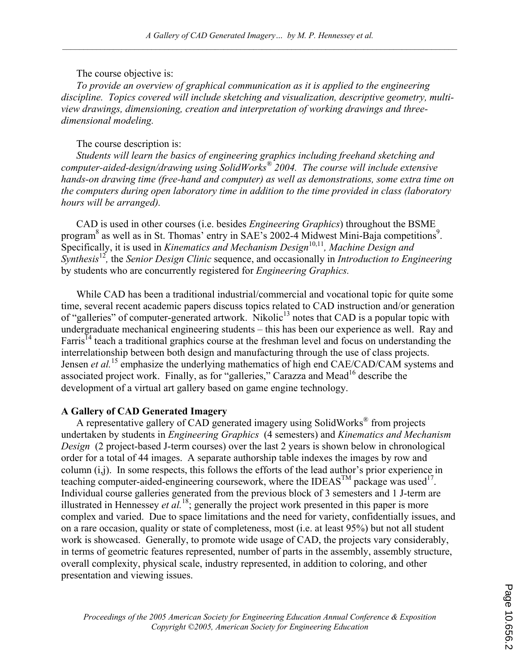The course objective is:

*To provide an overview of graphical communication as it is applied to the engineering discipline. Topics covered will include sketching and visualization, descriptive geometry, multiview drawings, dimensioning, creation and interpretation of working drawings and threedimensional modeling.* 

### The course description is:

*Students will learn the basics of engineering graphics including freehand sketching and computer-aided-design/drawing using SolidWorks® 2004. The course will include extensive hands-on drawing time (free-hand and computer) as well as demonstrations, some extra time on the computers during open laboratory time in addition to the time provided in class (laboratory hours will be arranged).* 

CAD is used in other courses (i.e. besides *Engineering Graphics*) throughout the BSME program<sup>8</sup> as well as in St. Thomas' entry in SAE's 2002-4 Midwest Mini-Baja competitions<sup>9</sup>. Specifically, it is used in *Kinematics and Mechanism Design*<sup>10,11</sup>, *Machine Design and Synthesis*<sup>12</sup>*,* the *Senior Design Clinic* sequence, and occasionally in *Introduction to Engineering*  by students who are concurrently registered for *Engineering Graphics.* 

While CAD has been a traditional industrial/commercial and vocational topic for quite some time, several recent academic papers discuss topics related to CAD instruction and/or generation of "galleries" of computer-generated artwork. Nikolic<sup>13</sup> notes that CAD is a popular topic with undergraduate mechanical engineering students – this has been our experience as well. Ray and Farris<sup>14</sup> teach a traditional graphics course at the freshman level and focus on understanding the interrelationship between both design and manufacturing through the use of class projects. Jensen *et al.*<sup>15</sup> emphasize the underlying mathematics of high end CAE/CAD/CAM systems and associated project work. Finally, as for "galleries," Carazza and Mead<sup>16</sup> describe the development of a virtual art gallery based on game engine technology.

### **A Gallery of CAD Generated Imagery**

A representative gallery of CAD generated imagery using SolidWorks® from projects undertaken by students in *Engineering Graphics* (4 semesters) and *Kinematics and Mechanism Design* (2 project-based J-term courses) over the last 2 years is shown below in chronological order for a total of 44 images. A separate authorship table indexes the images by row and column (i,j). In some respects, this follows the efforts of the lead author's prior experience in teaching computer-aided-engineering coursework, where the IDEAS<sup>TM</sup> package was used<sup>17</sup>. Individual course galleries generated from the previous block of 3 semesters and 1 J-term are illustrated in Hennessey *et al.*<sup>18</sup>; generally the project work presented in this paper is more complex and varied. Due to space limitations and the need for variety, confidentially issues, and on a rare occasion, quality or state of completeness, most (i.e. at least 95%) but not all student work is showcased. Generally, to promote wide usage of CAD, the projects vary considerably, in terms of geometric features represented, number of parts in the assembly, assembly structure, overall complexity, physical scale, industry represented, in addition to coloring, and other presentation and viewing issues.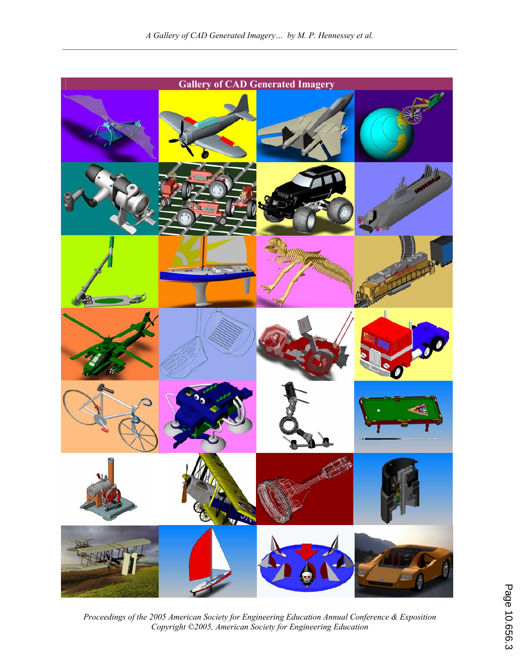

*Proceedings of the 2005 American Society for Engineering Education Annual Conference & Exposition Copyright ©2005, American Society for Engineering Education*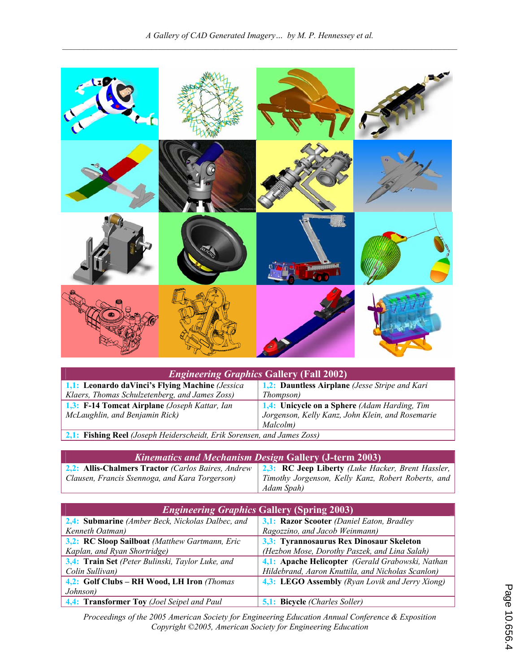

| <i>Engineering Graphics Gallery (Fall 2002)</i>                         |                                                  |  |
|-------------------------------------------------------------------------|--------------------------------------------------|--|
| 1,1: Leonardo daVinci's Flying Machine (Jessica                         | 1,2: Dauntless Airplane (Jesse Stripe and Kari   |  |
| Klaers, Thomas Schulzetenberg, and James Zoss)                          | <i>Thompson</i> )                                |  |
| 1,3: F-14 Tomcat Airplane (Joseph Kattar, Ian                           | 1,4: Unicycle on a Sphere (Adam Harding, Tim     |  |
| McLaughlin, and Benjamin Rick)                                          | Jorgenson, Kelly Kanz, John Klein, and Rosemarie |  |
|                                                                         | Malcolm)                                         |  |
| 2,1: Fishing Reel (Joseph Heiderscheidt, Erik Sorensen, and James Zoss) |                                                  |  |

| <b>Kinematics and Mechanism Design Gallery (J-term 2003)</b>                                         |                                                    |
|------------------------------------------------------------------------------------------------------|----------------------------------------------------|
| 2.2: Allis-Chalmers Tractor (Carlos Baires, Andrew 2.3: RC Jeep Liberty (Luke Hacker, Brent Hassler, |                                                    |
| Clausen, Francis Ssennoga, and Kara Torgerson)                                                       | Timothy Jorgenson, Kelly Kanz, Robert Roberts, and |
|                                                                                                      | Adam Spah)                                         |

| <b>Engineering Graphics Gallery (Spring 2003)</b> |                                                   |
|---------------------------------------------------|---------------------------------------------------|
| 2,4: Submarine (Amber Beck, Nickolas Dalbec, and  | 3,1: Razor Scooter (Daniel Eaton, Bradley         |
| Kenneth Oatman)                                   | Ragozzino, and Jacob Weinmann)                    |
| 3,2: RC Sloop Sailboat (Matthew Gartmann, Eric    | 3,3: Tyrannosaurus Rex Dinosaur Skeleton          |
| Kaplan, and Ryan Shortridge)                      | (Hezbon Mose, Dorothy Paszek, and Lina Salah)     |
| 3,4: Train Set (Peter Bulinski, Taylor Luke, and  | 4,1: Apache Helicopter (Gerald Grabowski, Nathan  |
| Colin Sullivan)                                   | Hildebrand, Aaron Knuttila, and Nicholas Scanlon) |
| 4,2: Golf Clubs - RH Wood, LH Iron (Thomas        | 4,3: LEGO Assembly (Ryan Lovik and Jerry Xiong)   |
| Johnson)                                          |                                                   |
| 4,4: Transformer Toy (Joel Seipel and Paul        | <b>5,1: Bicycle (Charles Soller)</b>              |

*Proceedings of the 2005 American Society for Engineering Education Annual Conference & Exposition Copyright ©2005, American Society for Engineering Education*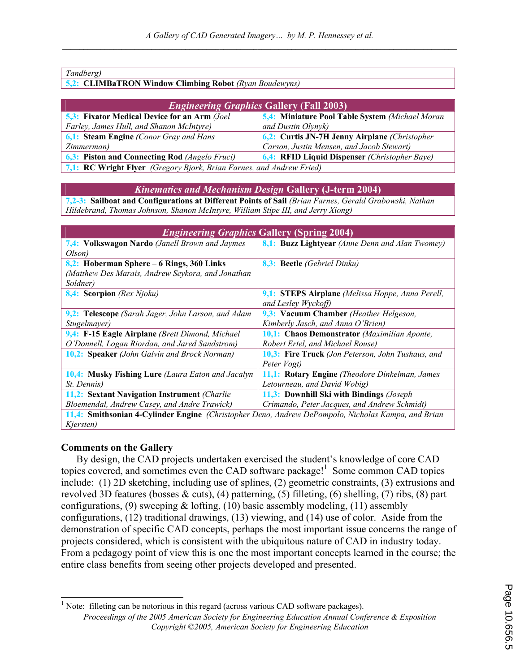| Tandberg)                                                     |  |
|---------------------------------------------------------------|--|
| <b>5,2: CLIMBaTRON Window Climbing Robot</b> (Ryan Boudewyns) |  |

| <i><b>Engineering Graphics Gallery (Fall 2003)</b></i>               |                                                             |  |
|----------------------------------------------------------------------|-------------------------------------------------------------|--|
| <b>5,3: Fixator Medical Device for an Arm (Joel</b>                  | 5,4: Miniature Pool Table System (Michael Moran             |  |
| Farley, James Hull, and Shanon McIntyre)                             | and Dustin Olynyk)                                          |  |
| <b>6,1: Steam Engine</b> (Conor Gray and Hans                        | 6,2: Curtis JN-7H Jenny Airplane (Christopher               |  |
| Zimmerman)                                                           | Carson, Justin Mensen, and Jacob Stewart)                   |  |
| <b>6,3: Piston and Connecting Rod</b> (Angelo Fruci)                 | <b>6,4:</b> RFID Liquid Dispenser <i>(Christopher Baye)</i> |  |
| 7,1: RC Wright Flyer (Gregory Bjork, Brian Farnes, and Andrew Fried) |                                                             |  |

#### *Kinematics and Mechanism Design* **Gallery (J-term 2004)**

**7,2-3: Sailboat and Configurations at Different Points of Sail** *(Brian Farnes, Gerald Grabowski, Nathan Hildebrand, Thomas Johnson, Shanon McIntyre, William Stipe III, and Jerry Xiong)*

| <b>Engineering Graphics Gallery (Spring 2004)</b>                                                  |                                                          |
|----------------------------------------------------------------------------------------------------|----------------------------------------------------------|
| 7,4: Volkswagon Nardo (Janell Brown and Jaymes                                                     | 8,1: Buzz Lightyear (Anne Denn and Alan Twomey)          |
| Olson)                                                                                             |                                                          |
| 8,2: Hoberman Sphere – 6 Rings, 360 Links                                                          | 8,3: Beetle (Gebriel Dinku)                              |
| (Matthew Des Marais, Andrew Seykora, and Jonathan                                                  |                                                          |
| Soldner)                                                                                           |                                                          |
| 8,4: Scorpion (Rex Njoku)                                                                          | 9,1: STEPS Airplane (Melissa Hoppe, Anna Perell,         |
|                                                                                                    | and Lesley Wyckoff)                                      |
| 9,2: Telescope (Sarah Jager, John Larson, and Adam                                                 | 9,3: Vacuum Chamber (Heather Helgeson,                   |
| Stugelmayer)                                                                                       | Kimberly Jasch, and Anna O'Brien)                        |
| 9,4: F-15 Eagle Airplane (Brett Dimond, Michael)                                                   | 10,1: Chaos Demonstrator (Maximilian Aponte,             |
| O'Donnell, Logan Riordan, and Jared Sandstrom)                                                     | Robert Ertel, and Michael Rouse)                         |
| 10,2: Speaker (John Galvin and Brock Norman)                                                       | <b>10,3: Fire Truck</b> (Jon Peterson, John Tushaus, and |
|                                                                                                    | Peter Vogt)                                              |
| <b>10.4: Musky Fishing Lure</b> (Laura Eaton and Jacalyn                                           | 11,1: Rotary Engine (Theodore Dinkelman, James           |
| <i>St. Dennis</i> )                                                                                | Letourneau, and David Wobig)                             |
| 11,2: Sextant Navigation Instrument (Charlie)                                                      | 11,3: Downhill Ski with Bindings (Joseph)                |
| Bloemendal, Andrew Casey, and Andre Trawick)                                                       | Crimando, Peter Jacques, and Andrew Schmidt)             |
| 11,4: Smithsonian 4-Cylinder Engine (Christopher Deno, Andrew DePompolo, Nicholas Kampa, and Brian |                                                          |
| Kjersten)                                                                                          |                                                          |

### **Comments on the Gallery**

 $\overline{a}$ 

By design, the CAD projects undertaken exercised the student's knowledge of core CAD topics covered, and sometimes even the CAD software package!<sup>1</sup> Some common CAD topics include: (1) 2D sketching, including use of splines, (2) geometric constraints, (3) extrusions and revolved 3D features (bosses  $\&$  cuts), (4) patterning, (5) filleting, (6) shelling, (7) ribs, (8) part configurations, (9) sweeping  $\&$  lofting, (10) basic assembly modeling, (11) assembly configurations, (12) traditional drawings, (13) viewing, and (14) use of color. Aside from the demonstration of specific CAD concepts, perhaps the most important issue concerns the range of projects considered, which is consistent with the ubiquitous nature of CAD in industry today. From a pedagogy point of view this is one the most important concepts learned in the course; the entire class benefits from seeing other projects developed and presented.

*Proceedings of the 2005 American Society for Engineering Education Annual Conference & Exposition Copyright ©2005, American Society for Engineering Education*  <sup>1</sup> Note: filleting can be notorious in this regard (across various CAD software packages).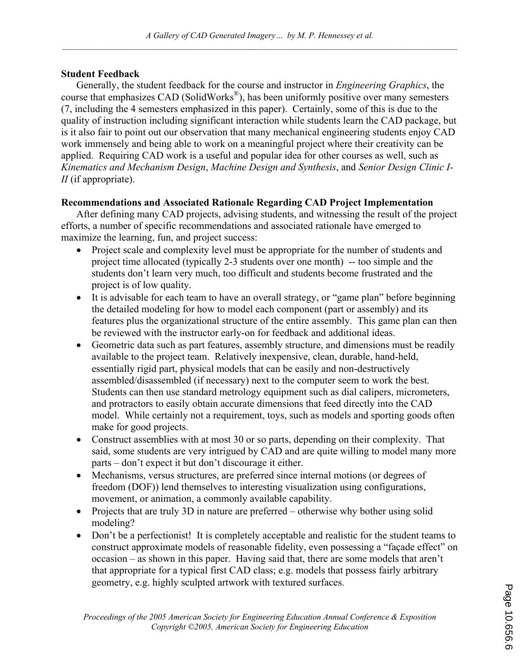# **Student Feedback**

Generally, the student feedback for the course and instructor in *Engineering Graphics*, the course that emphasizes CAD (SolidWorks®), has been uniformly positive over many semesters (7, including the 4 semesters emphasized in this paper). Certainly, some of this is due to the quality of instruction including significant interaction while students learn the CAD package, but is it also fair to point out our observation that many mechanical engineering students enjoy CAD work immensely and being able to work on a meaningful project where their creativity can be applied. Requiring CAD work is a useful and popular idea for other courses as well, such as *Kinematics and Mechanism Design*, *Machine Design and Synthesis*, and *Senior Design Clinic I-II* (if appropriate).

# **Recommendations and Associated Rationale Regarding CAD Project Implementation**

After defining many CAD projects, advising students, and witnessing the result of the project efforts, a number of specific recommendations and associated rationale have emerged to maximize the learning, fun, and project success:

- Project scale and complexity level must be appropriate for the number of students and project time allocated (typically 2-3 students over one month) -- too simple and the students don't learn very much, too difficult and students become frustrated and the project is of low quality.
- It is advisable for each team to have an overall strategy, or "game plan" before beginning the detailed modeling for how to model each component (part or assembly) and its features plus the organizational structure of the entire assembly. This game plan can then be reviewed with the instructor early-on for feedback and additional ideas.
- Geometric data such as part features, assembly structure, and dimensions must be readily available to the project team. Relatively inexpensive, clean, durable, hand-held, essentially rigid part, physical models that can be easily and non-destructively assembled/disassembled (if necessary) next to the computer seem to work the best. Students can then use standard metrology equipment such as dial calipers, micrometers, and protractors to easily obtain accurate dimensions that feed directly into the CAD model. While certainly not a requirement, toys, such as models and sporting goods often make for good projects.
- Construct assemblies with at most 30 or so parts, depending on their complexity. That said, some students are very intrigued by CAD and are quite willing to model many more parts – don't expect it but don't discourage it either.
- Mechanisms, versus structures, are preferred since internal motions (or degrees of freedom (DOF)) lend themselves to interesting visualization using configurations, movement, or animation, a commonly available capability.
- Projects that are truly 3D in nature are preferred otherwise why bother using solid modeling?
- Don't be a perfectionist! It is completely acceptable and realistic for the student teams to construct approximate models of reasonable fidelity, even possessing a "façade effect" on occasion – as shown in this paper. Having said that, there are some models that aren't that appropriate for a typical first CAD class; e.g. models that possess fairly arbitrary geometry, e.g. highly sculpted artwork with textured surfaces.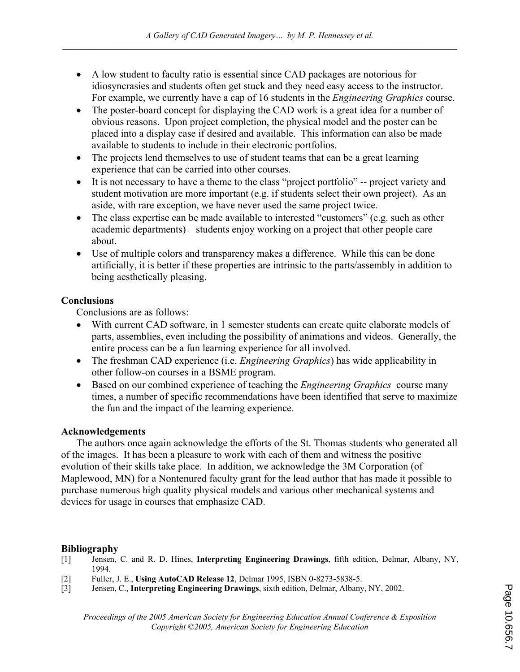- A low student to faculty ratio is essential since CAD packages are notorious for idiosyncrasies and students often get stuck and they need easy access to the instructor. For example, we currently have a cap of 16 students in the *Engineering Graphics* course.
- The poster-board concept for displaying the CAD work is a great idea for a number of obvious reasons. Upon project completion, the physical model and the poster can be placed into a display case if desired and available. This information can also be made available to students to include in their electronic portfolios.
- The projects lend themselves to use of student teams that can be a great learning experience that can be carried into other courses.
- It is not necessary to have a theme to the class "project portfolio" -- project variety and student motivation are more important (e.g. if students select their own project). As an aside, with rare exception, we have never used the same project twice.
- The class expertise can be made available to interested "customers" (e.g. such as other academic departments) – students enjoy working on a project that other people care about.
- Use of multiple colors and transparency makes a difference. While this can be done artificially, it is better if these properties are intrinsic to the parts/assembly in addition to being aesthetically pleasing.

# **Conclusions**

Conclusions are as follows:

- With current CAD software, in 1 semester students can create quite elaborate models of parts, assemblies, even including the possibility of animations and videos. Generally, the entire process can be a fun learning experience for all involved.
- The freshman CAD experience (i.e. *Engineering Graphics*) has wide applicability in other follow-on courses in a BSME program.
- Based on our combined experience of teaching the *Engineering Graphics* course many times, a number of specific recommendations have been identified that serve to maximize the fun and the impact of the learning experience.

# **Acknowledgements**

The authors once again acknowledge the efforts of the St. Thomas students who generated all of the images. It has been a pleasure to work with each of them and witness the positive evolution of their skills take place. In addition, we acknowledge the 3M Corporation (of Maplewood, MN) for a Nontenured faculty grant for the lead author that has made it possible to purchase numerous high quality physical models and various other mechanical systems and devices for usage in courses that emphasize CAD.

# **Bibliography**

- [1] Jensen, C. and R. D. Hines, **Interpreting Engineering Drawings**, fifth edition, Delmar, Albany, NY, 1994.
- [2] Fuller, J. E., **Using AutoCAD Release 12**, Delmar 1995, ISBN 0-8273-5838-5.
- [3] Jensen, C., **Interpreting Engineering Drawings**, sixth edition, Delmar, Albany, NY, 2002.